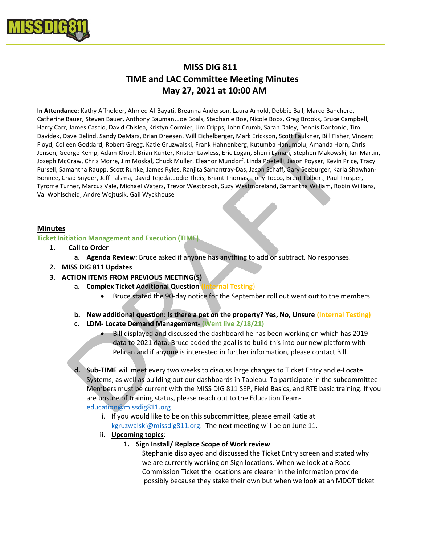

# MISS DIG 811 TIME and LAC Committee Meeting Minutes May 27, 2021 at 10:00 AM

In Attendance: Kathy Affholder, Ahmed Al-Bayati, Breanna Anderson, Laura Arnold, Debbie Ball, Marco Banchero, Catherine Bauer, Steven Bauer, Anthony Bauman, Joe Boals, Stephanie Boe, Nicole Boos, Greg Brooks, Bruce Campbell, Harry Carr, James Cascio, David Chislea, Kristyn Cormier, Jim Cripps, John Crumb, Sarah Daley, Dennis Dantonio, Tim Davidek, Dave Delind, Sandy DeMars, Brian Dreesen, Will Eichelberger, Mark Erickson, Scott Faulkner, Bill Fisher, Vincent Floyd, Colleen Goddard, Robert Gregg, Katie Gruzwalski, Frank Hahnenberg, Kutumba Hanumolu, Amanda Horn, Chris Jensen, George Kemp, Adam Khodl, Brian Kunter, Kristen Lawless, Eric Logan, Sherri Lyman, Stephen Makowski, Ian Martin, Joseph McGraw, Chris Morre, Jim Moskal, Chuck Muller, Eleanor Mundorf, Linda Poetelli, Jason Poyser, Kevin Price, Tracy Pursell, Samantha Raupp, Scott Runke, James Ryles, Ranjita Samantray-Das, Jason Schaff, Gary Seeburger, Karla Shawhan-Bonnee, Chad Snyder, Jeff Talsma, David Tejeda, Jodie Theis, Briant Thomas, Tony Tocco, Brent Tolbert, Paul Trosper, Tyrome Turner, Marcus Vale, Michael Waters, Trevor Westbrook, Suzy Westmoreland, Samantha William, Robin Willians, Val Wohlscheid, Andre Wojtusik, Gail Wyckhouse

## Minutes

## Ticket Initiation Management and Execution (TIME)

- 1. Call to Order
	- a. Agenda Review: Bruce asked if anyone has anything to add or subtract. No responses.
- 2. MISS DIG 811 Updates
- 3. ACTION ITEMS FROM PREVIOUS MEETING(S)
	- a. Complex Ticket Additional Question (Internal Testing)
		- Bruce stated the 90-day notice for the September roll out went out to the members.
	- b. New additional question: Is there a pet on the property? Yes, No, Unsure (Internal Testing)
	- c. LDM- Locate Demand Management- (Went live 2/18/21)
		- Bill displayed and discussed the dashboard he has been working on which has 2019 data to 2021 data. Bruce added the goal is to build this into our new platform with Pelican and if anyone is interested in further information, please contact Bill.

d. Sub-TIME will meet every two weeks to discuss large changes to Ticket Entry and e-Locate Systems, as well as building out our dashboards in Tableau. To participate in the subcommittee Members must be current with the MISS DIG 811 SEP, Field Basics, and RTE basic training. If you are unsure of training status, please reach out to the Education Teameducation@missdig811.org

- i. If you would like to be on this subcommittee, please email Katie at kgruzwalski@missdig811.org. The next meeting will be on June 11.
- ii. Upcoming topics:
	- 1. Sign Install/ Replace Scope of Work review

 Stephanie displayed and discussed the Ticket Entry screen and stated why we are currently working on Sign locations. When we look at a Road Commission Ticket the locations are clearer in the information provide possibly because they stake their own but when we look at an MDOT ticket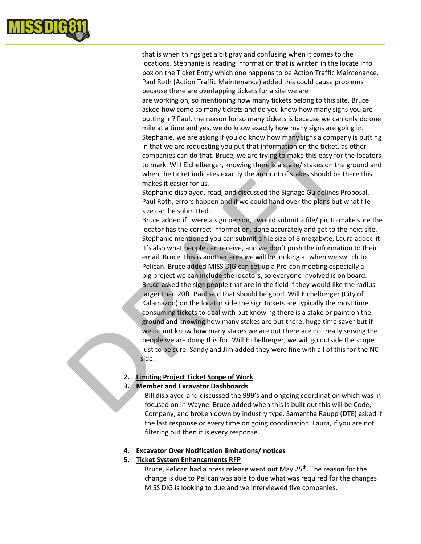

 that is when things get a bit gray and confusing when it comes to the locations. Stephanie is reading information that is written in the locate info box on the Ticket Entry which one happens to be Action Traffic Maintenance. Paul Roth (Action Traffic Maintenance) added this could cause problems because there are overlapping tickets for a site we are

 are working on, so mentioning how many tickets belong to this site. Bruce asked how come so many tickets and do you know how many signs you are putting in? Paul, the reason for so many tickets is because we can only do one mile at a time and yes, we do know exactly how many signs are going in. Stephanie, we are asking if you do know how many signs a company is putting in that we are requesting you put that information on the ticket, as other companies can do that. Bruce, we are trying to make this easy for the locators to mark. Will Eichelberger, knowing there is a stake/ stakes on the ground and when the ticket indicates exactly the amount of stakes should be there this makes it easier for us.

 Stephanie displayed, read, and discussed the Signage Guidelines Proposal. Paul Roth, errors happen and if we could hand over the plans but what file size can be submitted.

 Bruce added if I were a sign person, I would submit a file/ pic to make sure the locator has the correct information, done accurately and get to the next site. Stephanie mentioned you can submit a file size of 8 megabyte, Laura added it it's also what people can receive, and we don't push the information to their email. Bruce, this is another area we will be looking at when we switch to Pelican. Bruce added MISS DIG can set up a Pre-con meeting especially a big project we can include the locators, so everyone involved is on board. Bruce asked the sign people that are in the field if they would like the radius larger than 20ft. Paul said that should be good. Will Eichelberger (City of Kalamazoo) on the locator side the sign tickets are typically the most time consuming tickets to deal with but knowing there is a stake or paint on the ground and knowing how many stakes are out there, huge time saver but if we do not know how many stakes we are out there are not really serving the people we are doing this for. Will Eichelberger, we will go outside the scope just to be sure. Sandy and Jim added they were fine with all of this for the NC side.

## 2. Limiting Project Ticket Scope of Work

## 3. Member and Excavator Dashboards

 Bill displayed and discussed the 999's and ongoing coordination which was in focused on in Wayne. Bruce added when this is built out this will be Code, Company, and broken down by industry type. Samantha Raupp (DTE) asked if the last response or every time on going coordination. Laura, if you are not filtering out then it is every response.

## 4. Excavator Over Notification limitations/ notices

## 5. Ticket System Enhancements RFP

Bruce, Pelican had a press release went out May 25<sup>th</sup>. The reason for the change is due to Pelican was able to due what was required for the changes MISS DIG is looking to due and we interviewed five companies.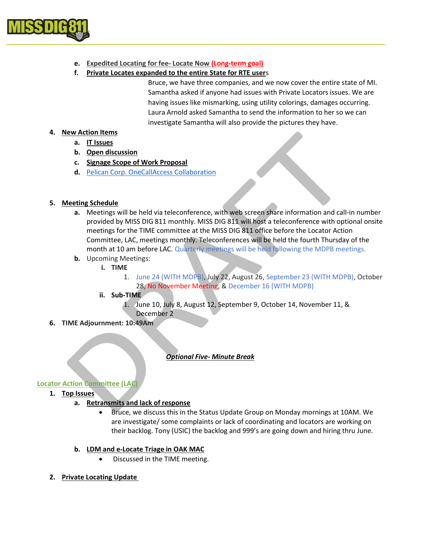

# e. Expedited Locating for fee- Locate Now (Long-term goal)

## f. Private Locates expanded to the entire State for RTE users

 Bruce, we have three companies, and we now cover the entire state of MI. Samantha asked if anyone had issues with Private Locators issues. We are having issues like mismarking, using utility colorings, damages occurring. Laura Arnold asked Samantha to send the information to her so we can investigate Samantha will also provide the pictures they have.

# 4. New Action Items

- a. IT Issues
- b. Open discussion
- c. Signage Scope of Work Proposal
- d. Pelican Corp. OneCallAccess Collaboration

## 5. Meeting Schedule

- a. Meetings will be held via teleconference, with web screen share information and call-in number provided by MISS DIG 811 monthly. MISS DIG 811 will host a teleconference with optional onsite meetings for the TIME committee at the MISS DIG 811 office before the Locator Action Committee, LAC, meetings monthly. Teleconferences will be held the fourth Thursday of the month at 10 am before LAC. Quarterly meetings will be held following the MDPB meetings.
- **b.** Upcoming Meetings:
	- i. TIME
		- 1. June 24 (WITH MDPB), July 22, August 26, September 23 (WITH MDPB), October 28, No November Meeting, & December 16 (WITH MDPB)
	- ii. Sub-TIME
		- 1. June 10, July 8, August 12, September 9, October 14, November 11, & December 2
- 6. TIME Adjournment: 10:49Am

# Optional Five- Minute Break

## Locator Action Committee (LAC)

1. Top Issues

# a. Retransmits and lack of response

 Bruce, we discuss this in the Status Update Group on Monday mornings at 10AM. We are investigate/ some complaints or lack of coordinating and locators are working on their backlog. Tony (USIC) the backlog and 999's are going down and hiring thru June.

## b. LDM and e-Locate Triage in OAK MAC

- Discussed in the TIME meeting.
- 2. Private Locating Update